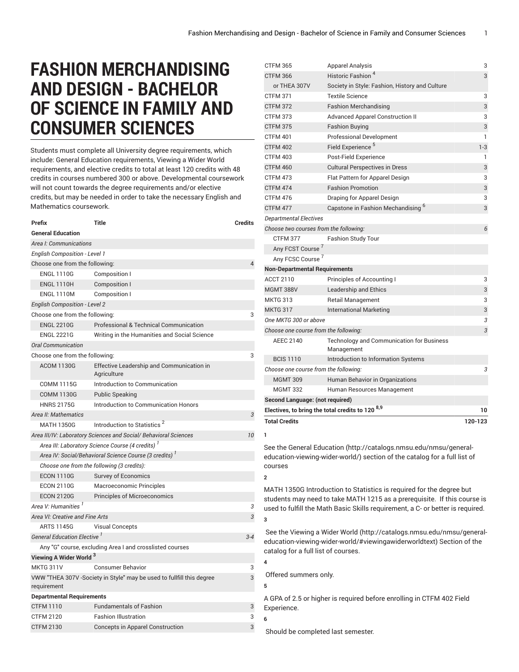## **FASHION MERCHANDISING AND DESIGN - BACHELOR OF SCIENCE IN FAMILY AND CONSUMER SCIENCES**

Students must complete all University degree requirements, which include: General Education requirements, Viewing a Wider World requirements, and elective credits to total at least 120 credits with 48 credits in courses numbered 300 or above. Developmental coursework will not count towards the degree requirements and/or elective credits, but may be needed in order to take the necessary English and Mathematics coursework.

| Prefix                                                       | <b>Title</b>                                                          | <b>Credits</b> |  |
|--------------------------------------------------------------|-----------------------------------------------------------------------|----------------|--|
| <b>General Education</b>                                     |                                                                       |                |  |
| Area I: Communications                                       |                                                                       |                |  |
| <b>English Composition - Level 1</b>                         |                                                                       |                |  |
| Choose one from the following:<br>4                          |                                                                       |                |  |
| <b>ENGL 1110G</b>                                            | Composition I                                                         |                |  |
| <b>ENGL 1110H</b>                                            | Composition I                                                         |                |  |
| <b>ENGL 1110M</b>                                            | Composition I                                                         |                |  |
| <b>English Composition - Level 2</b>                         |                                                                       |                |  |
| Choose one from the following:<br>3                          |                                                                       |                |  |
| <b>ENGL 2210G</b>                                            | Professional & Technical Communication                                |                |  |
| <b>ENGL 2221G</b>                                            | Writing in the Humanities and Social Science                          |                |  |
| <b>Oral Communication</b>                                    |                                                                       |                |  |
| Choose one from the following:                               |                                                                       | 3              |  |
| <b>ACOM 1130G</b>                                            | Effective Leadership and Communication in<br>Agriculture              |                |  |
| <b>COMM 1115G</b>                                            | Introduction to Communication                                         |                |  |
| <b>COMM 1130G</b>                                            | <b>Public Speaking</b>                                                |                |  |
| <b>HNRS 2175G</b>                                            | Introduction to Communication Honors                                  |                |  |
| Area II: Mathematics                                         |                                                                       | 3              |  |
| <b>MATH 1350G</b>                                            | Introduction to Statistics <sup>2</sup>                               |                |  |
|                                                              | Area III/IV: Laboratory Sciences and Social/ Behavioral Sciences      | 10             |  |
| Area III: Laboratory Science Course (4 credits) <sup>1</sup> |                                                                       |                |  |
| Area IV: Social/Behavioral Science Course (3 credits)        |                                                                       |                |  |
|                                                              | Choose one from the following (3 credits):                            |                |  |
| <b>ECON 1110G</b>                                            | <b>Survey of Economics</b>                                            |                |  |
| <b>ECON 2110G</b>                                            | Macroeconomic Principles                                              |                |  |
| <b>ECON 2120G</b>                                            | <b>Principles of Microeconomics</b>                                   |                |  |
| Area V: Humanities <sup>1</sup>                              |                                                                       | 3              |  |
| Area VI: Creative and Fine Arts                              |                                                                       | 3              |  |
| <b>ARTS 1145G</b>                                            | <b>Visual Concepts</b>                                                |                |  |
| <b>General Education Elective</b>                            |                                                                       | $3 - 4$        |  |
|                                                              | Any "G" course, excluding Area I and crosslisted courses              |                |  |
| Viewing A Wider World <sup>3</sup>                           |                                                                       |                |  |
| MKTG 311V                                                    | <b>Consumer Behavior</b>                                              | 3              |  |
|                                                              | VWW "THEA 307V -Society in Style" may be used to fullfill this degree | 3              |  |
| requirement                                                  |                                                                       |                |  |
| <b>Departmental Requirements</b>                             |                                                                       |                |  |
| <b>CTFM 1110</b>                                             | <b>Fundamentals of Fashion</b>                                        | 3              |  |
| <b>CTFM 2120</b>                                             | <b>Fashion Illustration</b>                                           | 3              |  |
| <b>CTFM 2130</b>                                             | <b>Concepts in Apparel Construction</b>                               | 3              |  |

| <b>CTFM 365</b>                        | <b>Apparel Analysis</b>                                                                                                                        | 3       |
|----------------------------------------|------------------------------------------------------------------------------------------------------------------------------------------------|---------|
| <b>CTFM 366</b>                        | Historic Fashion <sup>4</sup>                                                                                                                  | 3       |
| or THEA 307V                           | Society in Style: Fashion, History and Culture                                                                                                 |         |
| <b>CTFM 371</b>                        | <b>Textile Science</b>                                                                                                                         | 3       |
| <b>CTFM 372</b>                        | <b>Fashion Merchandising</b>                                                                                                                   | 3       |
| <b>CTFM 373</b>                        | <b>Advanced Apparel Construction II</b>                                                                                                        | 3       |
| <b>CTFM 375</b>                        | <b>Fashion Buying</b>                                                                                                                          | 3       |
| <b>CTFM 401</b>                        | <b>Professional Development</b>                                                                                                                | 1       |
| <b>CTFM 402</b>                        | Field Experience <sup>5</sup>                                                                                                                  | $1 - 3$ |
| <b>CTFM 403</b>                        | Post-Field Experience                                                                                                                          | 1       |
| CTFM 460                               | <b>Cultural Perspectives in Dress</b>                                                                                                          | 3       |
| <b>CTFM 473</b>                        | Flat Pattern for Apparel Design                                                                                                                | 3       |
| <b>CTFM 474</b>                        | <b>Fashion Promotion</b>                                                                                                                       | 3       |
| CTFM 476                               | Draping for Apparel Design                                                                                                                     | 3       |
| CTFM 477                               | Capstone in Fashion Mechandising <sup>o</sup>                                                                                                  | 3       |
| <b>Departmental Electives</b>          |                                                                                                                                                |         |
| Choose two courses from the following: |                                                                                                                                                | 6       |
| CTFM 377                               | <b>Fashion Study Tour</b>                                                                                                                      |         |
| Any FCST Course <sup>7</sup>           |                                                                                                                                                |         |
| Any FCSC Course <sup>7</sup>           |                                                                                                                                                |         |
| <b>Non-Departmental Requirements</b>   |                                                                                                                                                |         |
| <b>ACCT 2110</b>                       | Principles of Accounting I                                                                                                                     | 3       |
| <b>MGMT 388V</b>                       | <b>Leadership and Ethics</b>                                                                                                                   | 3       |
| <b>MKTG 313</b>                        | Retail Management                                                                                                                              | 3       |
| <b>MKTG 317</b>                        | International Marketing                                                                                                                        | 3       |
| One MKTG 300 or above                  |                                                                                                                                                | 3       |
| Choose one course from the following:  |                                                                                                                                                | 3       |
| AEEC 2140                              | <b>Technology and Communication for Business</b><br>Management                                                                                 |         |
| <b>BCIS 1110</b>                       | Introduction to Information Systems                                                                                                            |         |
| Choose one course from the following:  |                                                                                                                                                | 3       |
| <b>MGMT 309</b>                        | Human Behavior in Organizations                                                                                                                |         |
| <b>MGMT 332</b>                        | Human Resources Management                                                                                                                     |         |
| Second Language: (not required)        |                                                                                                                                                |         |
|                                        | Electives, to bring the total credits to 120 8,9                                                                                               | 10      |
| <b>Total Credits</b>                   |                                                                                                                                                | 120-123 |
| 1                                      |                                                                                                                                                |         |
| courses                                | See the General Education (http://catalogs.nmsu.edu/nmsu/general-<br>education-viewing-wider-world/) section of the catalog for a full list of |         |
| $\mathbf{2}$                           |                                                                                                                                                |         |
|                                        | MATH 1350G Introduction to Statistics is required for the degree but                                                                           |         |
|                                        | students may need to take MATH 1215 as a prerequisite. If this course is                                                                       |         |

used to fulfill the Math Basic Skills requirement, a C- or better is required. **3** See the [Viewing](http://catalogs.nmsu.edu/nmsu/general-education-viewing-wider-world/#viewingawiderworldtext) a Wider World [\(http://catalogs.nmsu.edu/nmsu/general-](http://catalogs.nmsu.edu/nmsu/general-education-viewing-wider-world/#viewingawiderworldtext)

[education-viewing-wider-world/#viewingawiderworldtext\)](http://catalogs.nmsu.edu/nmsu/general-education-viewing-wider-world/#viewingawiderworldtext) Section of the catalog for a full list of courses.

Offered summers only.

**5**

**4**

A GPA of 2.5 or higher is required before enrolling in CTFM 402 Field Experience.

**6**

Should be completed last semester.